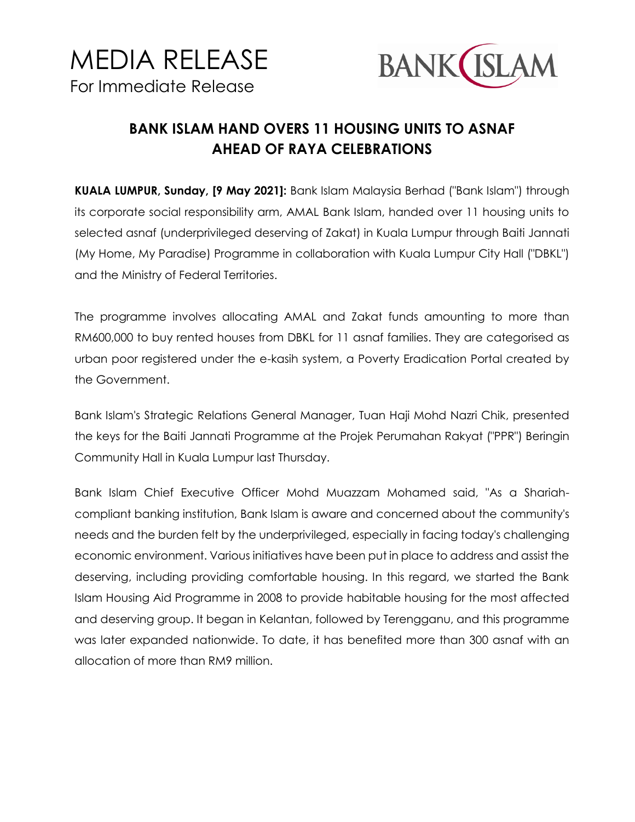



## **BANK ISLAM HAND OVERS 11 HOUSING UNITS TO ASNAF AHEAD OF RAYA CELEBRATIONS**

**KUALA LUMPUR, Sunday, [9 May 2021]:** Bank Islam Malaysia Berhad ("Bank Islam") through its corporate social responsibility arm, AMAL Bank Islam, handed over 11 housing units to selected asnaf (underprivileged deserving of Zakat) in Kuala Lumpur through Baiti Jannati (My Home, My Paradise) Programme in collaboration with Kuala Lumpur City Hall ("DBKL") and the Ministry of Federal Territories.

The programme involves allocating AMAL and Zakat funds amounting to more than RM600,000 to buy rented houses from DBKL for 11 asnaf families. They are categorised as urban poor registered under the e-kasih system, a Poverty Eradication Portal created by the Government.

Bank Islam's Strategic Relations General Manager, Tuan Haji Mohd Nazri Chik, presented the keys for the Baiti Jannati Programme at the Projek Perumahan Rakyat ("PPR") Beringin Community Hall in Kuala Lumpur last Thursday.

Bank Islam Chief Executive Officer Mohd Muazzam Mohamed said, "As a Shariahcompliant banking institution, Bank Islam is aware and concerned about the community's needs and the burden felt by the underprivileged, especially in facing today's challenging economic environment. Various initiatives have been put in place to address and assist the deserving, including providing comfortable housing. In this regard, we started the Bank Islam Housing Aid Programme in 2008 to provide habitable housing for the most affected and deserving group. It began in Kelantan, followed by Terengganu, and this programme was later expanded nationwide. To date, it has benefited more than 300 asnaf with an allocation of more than RM9 million.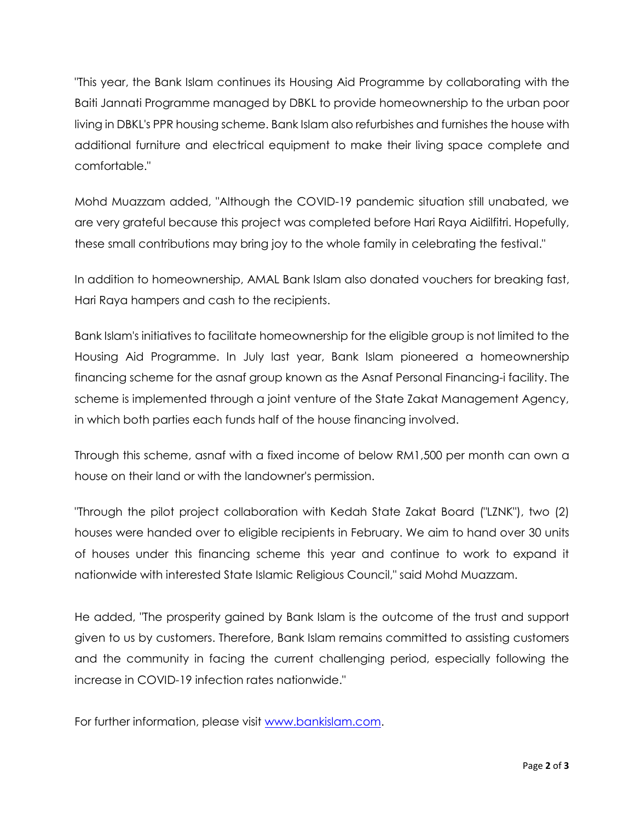"This year, the Bank Islam continues its Housing Aid Programme by collaborating with the Baiti Jannati Programme managed by DBKL to provide homeownership to the urban poor living in DBKL's PPR housing scheme. Bank Islam also refurbishes and furnishes the house with additional furniture and electrical equipment to make their living space complete and comfortable."

Mohd Muazzam added, "Although the COVID-19 pandemic situation still unabated, we are very grateful because this project was completed before Hari Raya Aidilfitri. Hopefully, these small contributions may bring joy to the whole family in celebrating the festival."

In addition to homeownership, AMAL Bank Islam also donated vouchers for breaking fast, Hari Raya hampers and cash to the recipients.

Bank Islam's initiatives to facilitate homeownership for the eligible group is not limited to the Housing Aid Programme. In July last year, Bank Islam pioneered a homeownership financing scheme for the asnaf group known as the Asnaf Personal Financing-i facility. The scheme is implemented through a joint venture of the State Zakat Management Agency, in which both parties each funds half of the house financing involved.

Through this scheme, asnaf with a fixed income of below RM1,500 per month can own a house on their land or with the landowner's permission.

"Through the pilot project collaboration with Kedah State Zakat Board ("LZNK"), two (2) houses were handed over to eligible recipients in February. We aim to hand over 30 units of houses under this financing scheme this year and continue to work to expand it nationwide with interested State Islamic Religious Council," said Mohd Muazzam.

He added, "The prosperity gained by Bank Islam is the outcome of the trust and support given to us by customers. Therefore, Bank Islam remains committed to assisting customers and the community in facing the current challenging period, especially following the increase in COVID-19 infection rates nationwide."

For further information, please visit [www.bankislam.com.](http://www.bankislam.com/)